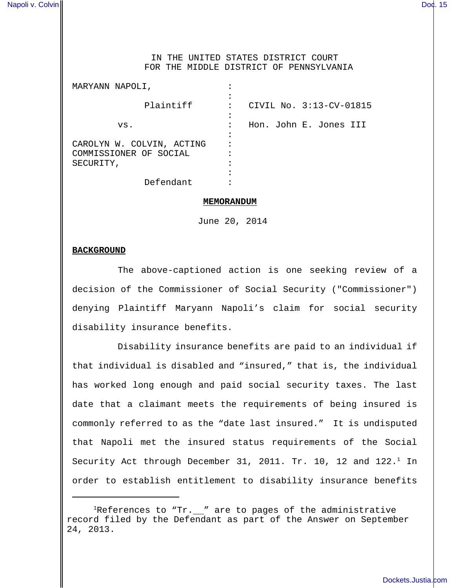### IN THE UNITED STATES DISTRICT COURT FOR THE MIDDLE DISTRICT OF PENNSYLVANIA

| MARYANN NAPOLI,                                     |                              |
|-----------------------------------------------------|------------------------------|
| Plaintiff                                           | CIVIL No. 3:13-CV-01815<br>٠ |
| VS.                                                 | Hon. John E. Jones III<br>٠  |
| CAROLYN W. COLVIN, ACTING<br>COMMISSIONER OF SOCIAL |                              |
| SECURITY,                                           |                              |
| Defendant                                           |                              |

#### **MEMORANDUM**

June 20, 2014

#### **BACKGROUND**

The above-captioned action is one seeking review of a decision of the Commissioner of Social Security ("Commissioner") denying Plaintiff Maryann Napoli's claim for social security disability insurance benefits.

Disability insurance benefits are paid to an individual if that individual is disabled and "insured," that is, the individual has worked long enough and paid social security taxes. The last date that a claimant meets the requirements of being insured is commonly referred to as the "date last insured." It is undisputed that Napoli met the insured status requirements of the Social Security Act through December 31, 2011. Tr. 10, 12 and  $122.^1$  In order to establish entitlement to disability insurance benefits

<sup>&</sup>lt;sup>1</sup>References to "Tr.  $\mu$ " are to pages of the administrative record filed by the Defendant as part of the Answer on September 24, 2013.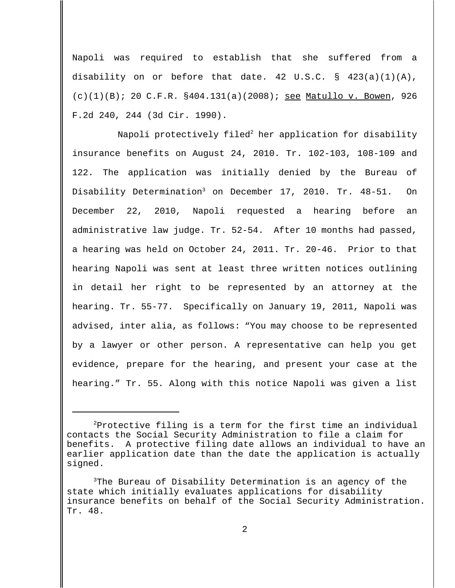Napoli was required to establish that she suffered from a disability on or before that date. 42 U.S.C.  $\S$  423(a)(1)(A),  $(c)(1)(B)$ ; 20 C.F.R. §404.131(a)(2008); <u>see Matullo v. Bowen</u>, 926 F.2d 240, 244 (3d Cir. 1990).

Napoli protectively filed<sup>2</sup> her application for disability insurance benefits on August 24, 2010. Tr. 102-103, 108-109 and 122. The application was initially denied by the Bureau of Disability Determination<sup>3</sup> on December 17, 2010. Tr. 48-51. On December 22, 2010, Napoli requested a hearing before an administrative law judge. Tr. 52-54. After 10 months had passed, a hearing was held on October 24, 2011. Tr. 20-46. Prior to that hearing Napoli was sent at least three written notices outlining in detail her right to be represented by an attorney at the hearing. Tr. 55-77. Specifically on January 19, 2011, Napoli was advised, inter alia, as follows: "You may choose to be represented by a lawyer or other person. A representative can help you get evidence, prepare for the hearing, and present your case at the hearing." Tr. 55. Along with this notice Napoli was given a list

 $2P$ Protective filing is a term for the first time an individual contacts the Social Security Administration to file a claim for benefits. A protective filing date allows an individual to have an earlier application date than the date the application is actually signed.

 $3$ The Bureau of Disability Determination is an agency of the state which initially evaluates applications for disability insurance benefits on behalf of the Social Security Administration. Tr. 48.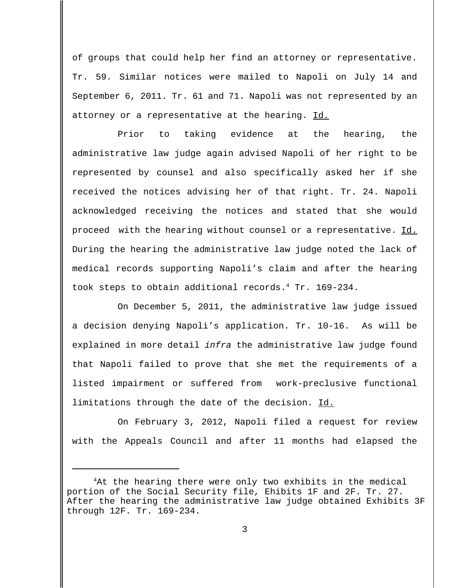of groups that could help her find an attorney or representative. Tr. 59. Similar notices were mailed to Napoli on July 14 and September 6, 2011. Tr. 61 and 71. Napoli was not represented by an attorney or a representative at the hearing. Id.

Prior to taking evidence at the hearing, the administrative law judge again advised Napoli of her right to be represented by counsel and also specifically asked her if she received the notices advising her of that right. Tr. 24. Napoli acknowledged receiving the notices and stated that she would proceed with the hearing without counsel or a representative. Id. During the hearing the administrative law judge noted the lack of medical records supporting Napoli's claim and after the hearing took steps to obtain additional records.<sup>4</sup> Tr. 169-234.

On December 5, 2011, the administrative law judge issued a decision denying Napoli's application. Tr. 10-16. As will be explained in more detail infra the administrative law judge found that Napoli failed to prove that she met the requirements of a listed impairment or suffered from work-preclusive functional limitations through the date of the decision. Id.

On February 3, 2012, Napoli filed a request for review with the Appeals Council and after 11 months had elapsed the

<sup>&</sup>lt;sup>4</sup>At the hearing there were only two exhibits in the medical portion of the Social Security file, Ehibits 1F and 2F. Tr. 27. After the hearing the administrative law judge obtained Exhibits 3F through 12F. Tr. 169-234.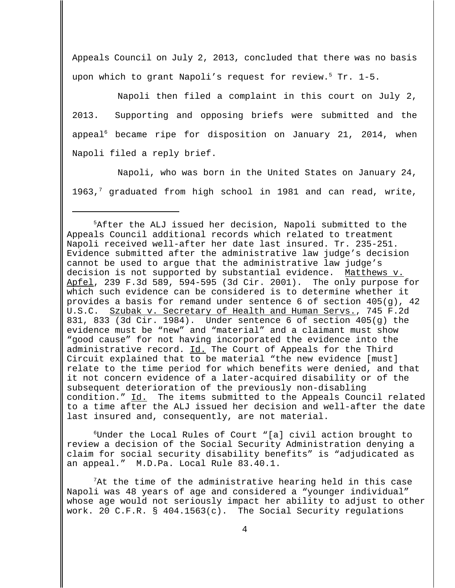Appeals Council on July 2, 2013, concluded that there was no basis upon which to grant Napoli's request for review.<sup>5</sup> Tr. 1-5.

Napoli then filed a complaint in this court on July 2, 2013. Supporting and opposing briefs were submitted and the appeal<sup>6</sup> became ripe for disposition on January 21, 2014, when Napoli filed a reply brief.

Napoli, who was born in the United States on January 24, 1963,<sup>7</sup> graduated from high school in 1981 and can read, write,

<sup>5</sup>After the ALJ issued her decision, Napoli submitted to the Appeals Council additional records which related to treatment Napoli received well-after her date last insured. Tr. 235-251. Evidence submitted after the administrative law judge's decision cannot be used to argue that the administrative law judge's decision is not supported by substantial evidence. Matthews v. Apfel, 239 F.3d 589, 594-595 (3d Cir. 2001). The only purpose for which such evidence can be considered is to determine whether it provides a basis for remand under sentence 6 of section 405(g), 42 U.S.C. Szubak v. Secretary of Health and Human Servs., 745 F.2d 831, 833 (3d Cir. 1984). Under sentence 6 of section 405(g) the evidence must be "new" and "material" and a claimant must show "good cause" for not having incorporated the evidence into the administrative record. Id. The Court of Appeals for the Third Circuit explained that to be material "the new evidence [must] relate to the time period for which benefits were denied, and that it not concern evidence of a later-acquired disability or of the subsequent deterioration of the previously non-disabling condition." Id. The items submitted to the Appeals Council related to a time after the ALJ issued her decision and well-after the date last insured and, consequently, are not material.

 $6$ Under the Local Rules of Court "[a] civil action brought to review a decision of the Social Security Administration denying a claim for social security disability benefits" is "adjudicated as an appeal." M.D.Pa. Local Rule 83.40.1.

 $7$ At the time of the administrative hearing held in this case Napoli was 48 years of age and considered a "younger individual" whose age would not seriously impact her ability to adjust to other work. 20 C.F.R. § 404.1563(c). The Social Security regulations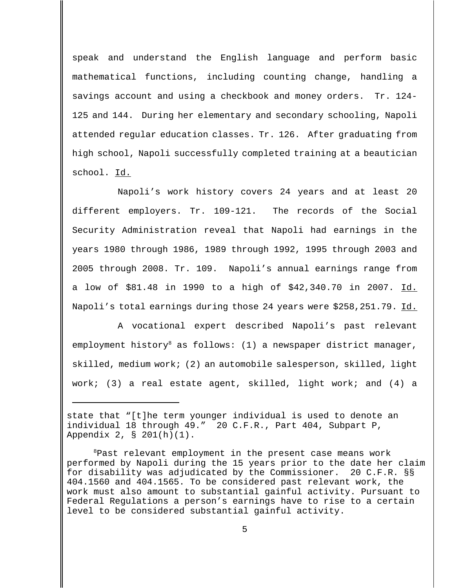speak and understand the English language and perform basic mathematical functions, including counting change, handling a savings account and using a checkbook and money orders. Tr. 124- 125 and 144. During her elementary and secondary schooling, Napoli attended regular education classes. Tr. 126. After graduating from high school, Napoli successfully completed training at a beautician school. Id.

Napoli's work history covers 24 years and at least 20 different employers. Tr. 109-121. The records of the Social Security Administration reveal that Napoli had earnings in the years 1980 through 1986, 1989 through 1992, 1995 through 2003 and 2005 through 2008. Tr. 109. Napoli's annual earnings range from a low of \$81.48 in 1990 to a high of \$42,340.70 in 2007. Id. Napoli's total earnings during those 24 years were \$258,251.79. Id.

A vocational expert described Napoli's past relevant employment history<sup>8</sup> as follows: (1) a newspaper district manager, skilled, medium work; (2) an automobile salesperson, skilled, light work; (3) a real estate agent, skilled, light work; and (4) a

state that "[t]he term younger individual is used to denote an individual 18 through 49." 20 C.F.R., Part 404, Subpart P, Appendix 2, § 201(h)(1).

<sup>8</sup>Past relevant employment in the present case means work performed by Napoli during the 15 years prior to the date her claim for disability was adjudicated by the Commissioner. 20 C.F.R. §§ 404.1560 and 404.1565. To be considered past relevant work, the work must also amount to substantial gainful activity. Pursuant to Federal Regulations a person's earnings have to rise to a certain level to be considered substantial gainful activity.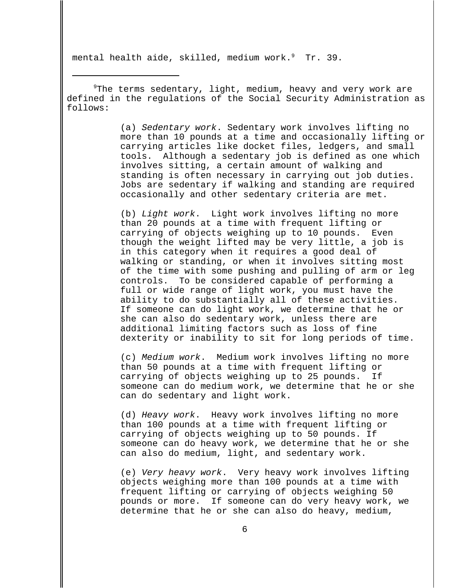mental health aide, skilled, medium work. $9$  Tr. 39.

 $9$ The terms sedentary, light, medium, heavy and very work are defined in the regulations of the Social Security Administration as follows:

> (a) Sedentary work. Sedentary work involves lifting no more than 10 pounds at a time and occasionally lifting or carrying articles like docket files, ledgers, and small tools. Although a sedentary job is defined as one which involves sitting, a certain amount of walking and standing is often necessary in carrying out job duties. Jobs are sedentary if walking and standing are required occasionally and other sedentary criteria are met.

(b) Light work. Light work involves lifting no more than 20 pounds at a time with frequent lifting or carrying of objects weighing up to 10 pounds. Even though the weight lifted may be very little, a job is in this category when it requires a good deal of walking or standing, or when it involves sitting most of the time with some pushing and pulling of arm or leg controls. To be considered capable of performing a full or wide range of light work, you must have the ability to do substantially all of these activities. If someone can do light work, we determine that he or she can also do sedentary work, unless there are additional limiting factors such as loss of fine dexterity or inability to sit for long periods of time.

(c) Medium work. Medium work involves lifting no more than 50 pounds at a time with frequent lifting or carrying of objects weighing up to 25 pounds. If someone can do medium work, we determine that he or she can do sedentary and light work.

(d) Heavy work. Heavy work involves lifting no more than 100 pounds at a time with frequent lifting or carrying of objects weighing up to 50 pounds. If someone can do heavy work, we determine that he or she can also do medium, light, and sedentary work.

(e) Very heavy work. Very heavy work involves lifting objects weighing more than 100 pounds at a time with frequent lifting or carrying of objects weighing 50 pounds or more. If someone can do very heavy work, we determine that he or she can also do heavy, medium,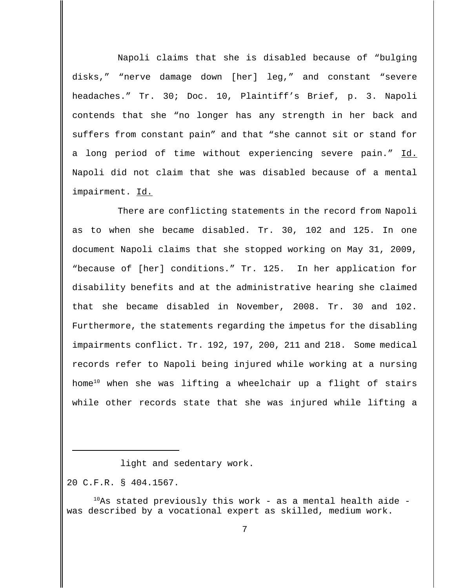Napoli claims that she is disabled because of "bulging disks," "nerve damage down [her] leg," and constant "severe headaches." Tr. 30; Doc. 10, Plaintiff's Brief, p. 3. Napoli contends that she "no longer has any strength in her back and suffers from constant pain" and that "she cannot sit or stand for a long period of time without experiencing severe pain." Id. Napoli did not claim that she was disabled because of a mental impairment. Id.

There are conflicting statements in the record from Napoli as to when she became disabled. Tr. 30, 102 and 125. In one document Napoli claims that she stopped working on May 31, 2009, "because of [her] conditions." Tr. 125. In her application for disability benefits and at the administrative hearing she claimed that she became disabled in November, 2008. Tr. 30 and 102. Furthermore, the statements regarding the impetus for the disabling impairments conflict. Tr. 192, 197, 200, 211 and 218. Some medical records refer to Napoli being injured while working at a nursing home<sup>10</sup> when she was lifting a wheelchair up a flight of stairs while other records state that she was injured while lifting a

20 C.F.R. § 404.1567.

light and sedentary work.

 $10$ As stated previously this work - as a mental health aide was described by a vocational expert as skilled, medium work.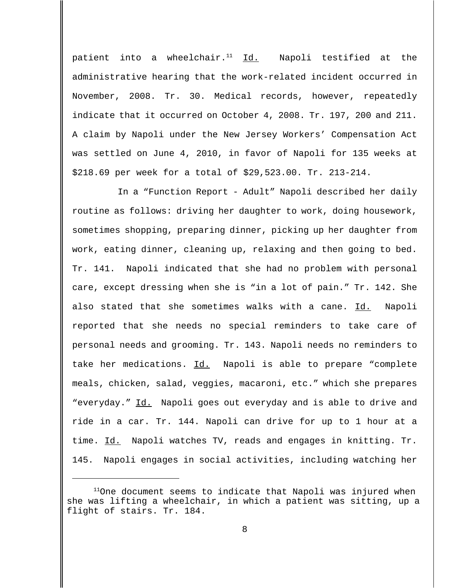patient into a wheelchair. $11$  Id. Napoli testified at the administrative hearing that the work-related incident occurred in November, 2008. Tr. 30. Medical records, however, repeatedly indicate that it occurred on October 4, 2008. Tr. 197, 200 and 211. A claim by Napoli under the New Jersey Workers' Compensation Act was settled on June 4, 2010, in favor of Napoli for 135 weeks at \$218.69 per week for a total of \$29,523.00. Tr. 213-214.

In a "Function Report - Adult" Napoli described her daily routine as follows: driving her daughter to work, doing housework, sometimes shopping, preparing dinner, picking up her daughter from work, eating dinner, cleaning up, relaxing and then going to bed. Tr. 141. Napoli indicated that she had no problem with personal care, except dressing when she is "in a lot of pain." Tr. 142. She also stated that she sometimes walks with a cane. Id. Napoli reported that she needs no special reminders to take care of personal needs and grooming. Tr. 143. Napoli needs no reminders to take her medications. Id. Napoli is able to prepare "complete meals, chicken, salad, veggies, macaroni, etc." which she prepares "everyday." Id. Napoli goes out everyday and is able to drive and ride in a car. Tr. 144. Napoli can drive for up to 1 hour at a time. Id. Napoli watches TV, reads and engages in knitting. Tr. 145. Napoli engages in social activities, including watching her

 $11$ One document seems to indicate that Napoli was injured when she was lifting a wheelchair, in which a patient was sitting, up a flight of stairs. Tr. 184.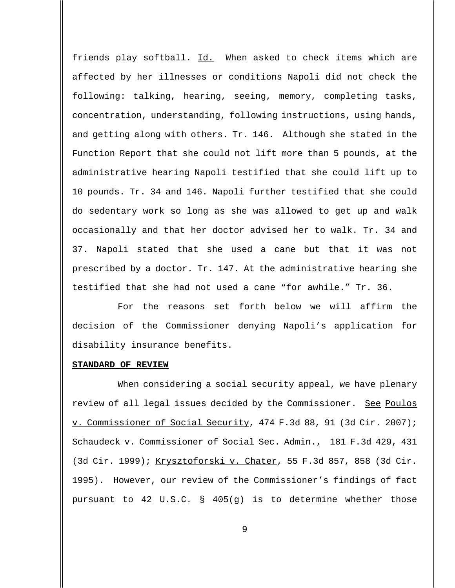friends play softball. Id. When asked to check items which are affected by her illnesses or conditions Napoli did not check the following: talking, hearing, seeing, memory, completing tasks, concentration, understanding, following instructions, using hands, and getting along with others. Tr. 146. Although she stated in the Function Report that she could not lift more than 5 pounds, at the administrative hearing Napoli testified that she could lift up to 10 pounds. Tr. 34 and 146. Napoli further testified that she could do sedentary work so long as she was allowed to get up and walk occasionally and that her doctor advised her to walk. Tr. 34 and 37. Napoli stated that she used a cane but that it was not prescribed by a doctor. Tr. 147. At the administrative hearing she testified that she had not used a cane "for awhile." Tr. 36.

For the reasons set forth below we will affirm the decision of the Commissioner denying Napoli's application for disability insurance benefits.

#### **STANDARD OF REVIEW**

When considering a social security appeal, we have plenary review of all legal issues decided by the Commissioner. See Poulos v. Commissioner of Social Security, 474 F.3d 88, 91 (3d Cir. 2007); Schaudeck v. Commissioner of Social Sec. Admin., 181 F.3d 429, 431 (3d Cir. 1999); Krysztoforski v. Chater, 55 F.3d 857, 858 (3d Cir. 1995). However, our review of the Commissioner's findings of fact pursuant to 42 U.S.C. § 405(g) is to determine whether those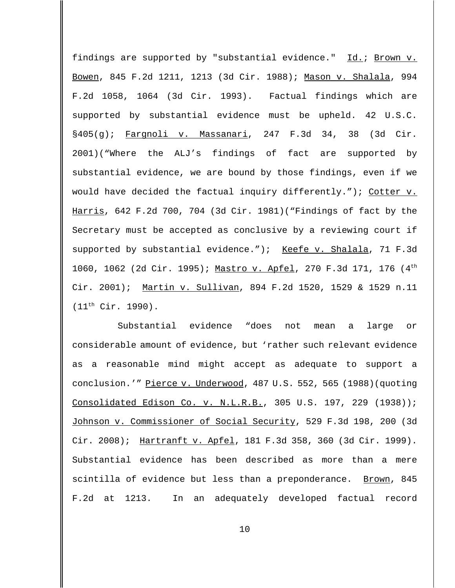findings are supported by "substantial evidence." Id.; Brown v. Bowen, 845 F.2d 1211, 1213 (3d Cir. 1988); Mason v. Shalala, 994 F.2d 1058, 1064 (3d Cir. 1993). Factual findings which are supported by substantial evidence must be upheld. 42 U.S.C. §405(g); Fargnoli v. Massanari, 247 F.3d 34, 38 (3d Cir. 2001)("Where the ALJ's findings of fact are supported by substantial evidence, we are bound by those findings, even if we would have decided the factual inquiry differently."); Cotter v. Harris, 642 F.2d 700, 704 (3d Cir. 1981)("Findings of fact by the Secretary must be accepted as conclusive by a reviewing court if supported by substantial evidence."); Keefe v. Shalala, 71 F.3d 1060, 1062 (2d Cir. 1995); Mastro v. Apfel, 270 F.3d 171, 176 (4th Cir. 2001); Martin v. Sullivan, 894 F.2d 1520, 1529 & 1529 n.11 (11th Cir. 1990).

Substantial evidence "does not mean a large or considerable amount of evidence, but 'rather such relevant evidence as a reasonable mind might accept as adequate to support a conclusion.'" Pierce v. Underwood, 487 U.S. 552, 565 (1988)(quoting Consolidated Edison Co. v. N.L.R.B., 305 U.S. 197, 229 (1938)); Johnson v. Commissioner of Social Security, 529 F.3d 198, 200 (3d Cir. 2008); Hartranft v. Apfel, 181 F.3d 358, 360 (3d Cir. 1999). Substantial evidence has been described as more than a mere scintilla of evidence but less than a preponderance. Brown, 845 F.2d at 1213. In an adequately developed factual record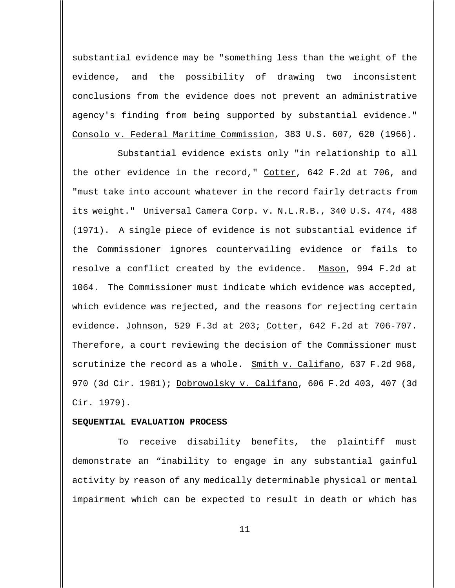substantial evidence may be "something less than the weight of the evidence, and the possibility of drawing two inconsistent conclusions from the evidence does not prevent an administrative agency's finding from being supported by substantial evidence." Consolo v. Federal Maritime Commission, 383 U.S. 607, 620 (1966).

Substantial evidence exists only "in relationship to all the other evidence in the record," Cotter, 642 F.2d at 706, and "must take into account whatever in the record fairly detracts from its weight." Universal Camera Corp. v. N.L.R.B., 340 U.S. 474, 488 (1971). A single piece of evidence is not substantial evidence if the Commissioner ignores countervailing evidence or fails to resolve a conflict created by the evidence. Mason, 994 F.2d at 1064. The Commissioner must indicate which evidence was accepted, which evidence was rejected, and the reasons for rejecting certain evidence. Johnson, 529 F.3d at 203; Cotter, 642 F.2d at 706-707. Therefore, a court reviewing the decision of the Commissioner must scrutinize the record as a whole. Smith v. Califano, 637 F.2d 968, 970 (3d Cir. 1981); Dobrowolsky v. Califano, 606 F.2d 403, 407 (3d Cir. 1979).

# **SEQUENTIAL EVALUATION PROCESS**

To receive disability benefits, the plaintiff must demonstrate an "inability to engage in any substantial gainful activity by reason of any medically determinable physical or mental impairment which can be expected to result in death or which has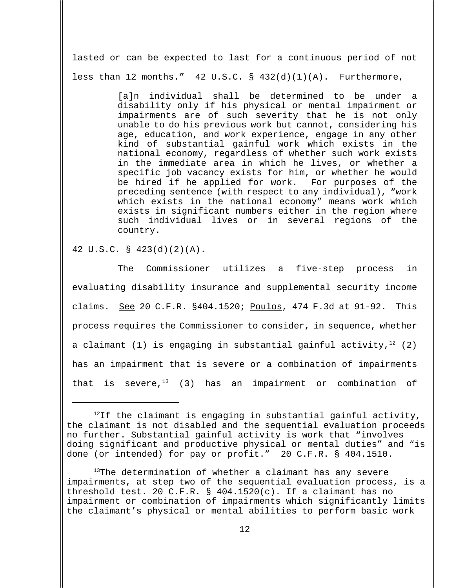lasted or can be expected to last for a continuous period of not less than 12 months."  $42 \text{ U.S.C. }$   $\frac{6}{10}(1)(1)(A)$ . Furthermore,

> [a]n individual shall be determined to be under a disability only if his physical or mental impairment or impairments are of such severity that he is not only unable to do his previous work but cannot, considering his age, education, and work experience, engage in any other kind of substantial gainful work which exists in the national economy, regardless of whether such work exists in the immediate area in which he lives, or whether a specific job vacancy exists for him, or whether he would be hired if he applied for work. For purposes of the preceding sentence (with respect to any individual), "work which exists in the national economy" means work which exists in significant numbers either in the region where such individual lives or in several regions of the country.

## 42 U.S.C. § 423(d)(2)(A).

The Commissioner utilizes a five-step process in evaluating disability insurance and supplemental security income claims. See 20 C.F.R. §404.1520; Poulos, 474 F.3d at 91-92. This process requires the Commissioner to consider, in sequence, whether a claimant (1) is engaging in substantial gainful activity,  $12$  (2) has an impairment that is severe or a combination of impairments that is severe, $13$  (3) has an impairment or combination of

 $12$ If the claimant is engaging in substantial gainful activity, the claimant is not disabled and the sequential evaluation proceeds no further. Substantial gainful activity is work that "involves doing significant and productive physical or mental duties" and "is done (or intended) for pay or profit." 20 C.F.R. § 404.1510.

<sup>13</sup>The determination of whether a claimant has any severe impairments, at step two of the sequential evaluation process, is a threshold test. 20 C.F.R. § 404.1520(c). If a claimant has no impairment or combination of impairments which significantly limits the claimant's physical or mental abilities to perform basic work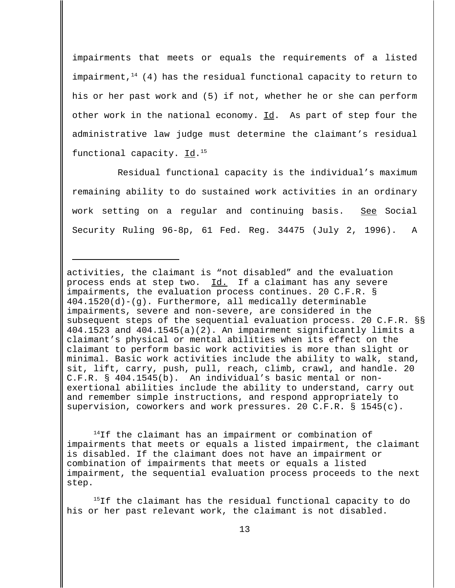impairments that meets or equals the requirements of a listed impairment,  $14$  (4) has the residual functional capacity to return to his or her past work and (5) if not, whether he or she can perform other work in the national economy. Id. As part of step four the administrative law judge must determine the claimant's residual functional capacity. Id.<sup>15</sup>

Residual functional capacity is the individual's maximum remaining ability to do sustained work activities in an ordinary work setting on a regular and continuing basis. See Social Security Ruling 96-8p, 61 Fed. Reg. 34475 (July 2, 1996). A

activities, the claimant is "not disabled" and the evaluation process ends at step two. Id. If a claimant has any severe impairments, the evaluation process continues. 20 C.F.R. § 404.1520(d)-(g). Furthermore, all medically determinable impairments, severe and non-severe, are considered in the subsequent steps of the sequential evaluation process. 20 C.F.R. §§ 404.1523 and 404.1545(a)(2). An impairment significantly limits a claimant's physical or mental abilities when its effect on the claimant to perform basic work activities is more than slight or minimal. Basic work activities include the ability to walk, stand, sit, lift, carry, push, pull, reach, climb, crawl, and handle. 20 C.F.R. § 404.1545(b). An individual's basic mental or nonexertional abilities include the ability to understand, carry out and remember simple instructions, and respond appropriately to supervision, coworkers and work pressures. 20 C.F.R. § 1545(c).

<sup>14</sup>If the claimant has an impairment or combination of impairments that meets or equals a listed impairment, the claimant is disabled. If the claimant does not have an impairment or combination of impairments that meets or equals a listed impairment, the sequential evaluation process proceeds to the next step.

<sup>15</sup>If the claimant has the residual functional capacity to do his or her past relevant work, the claimant is not disabled.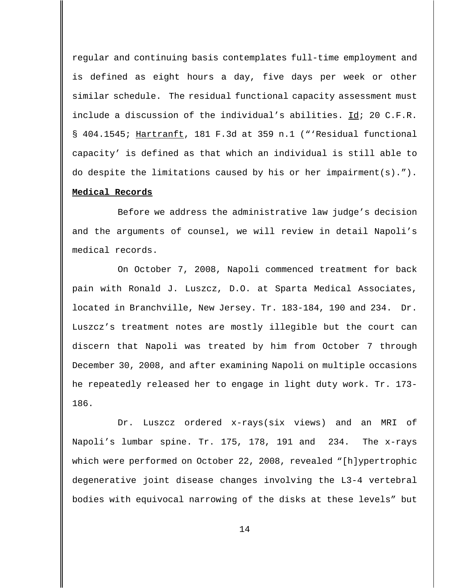regular and continuing basis contemplates full-time employment and is defined as eight hours a day, five days per week or other similar schedule. The residual functional capacity assessment must include a discussion of the individual's abilities. Id; 20 C.F.R. § 404.1545; Hartranft, 181 F.3d at 359 n.1 ("'Residual functional capacity' is defined as that which an individual is still able to do despite the limitations caused by his or her impairment(s)."). **Medical Records**

Before we address the administrative law judge's decision and the arguments of counsel, we will review in detail Napoli's medical records.

On October 7, 2008, Napoli commenced treatment for back pain with Ronald J. Luszcz, D.O. at Sparta Medical Associates, located in Branchville, New Jersey. Tr. 183-184, 190 and 234. Dr. Luszcz's treatment notes are mostly illegible but the court can discern that Napoli was treated by him from October 7 through December 30, 2008, and after examining Napoli on multiple occasions he repeatedly released her to engage in light duty work. Tr. 173- 186.

Dr. Luszcz ordered x-rays(six views) and an MRI of Napoli's lumbar spine. Tr. 175, 178, 191 and 234. The x-rays which were performed on October 22, 2008, revealed "[h]ypertrophic degenerative joint disease changes involving the L3-4 vertebral bodies with equivocal narrowing of the disks at these levels" but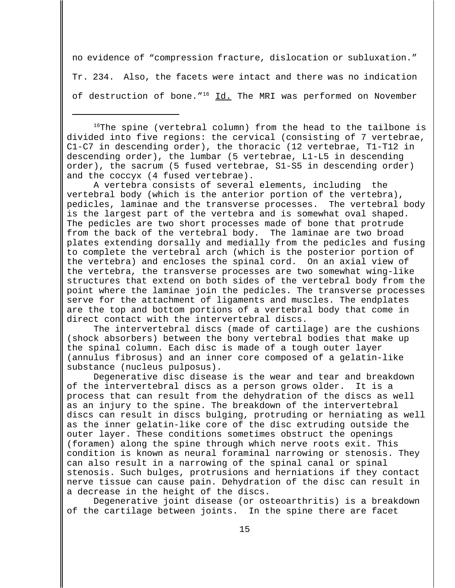no evidence of "compression fracture, dislocation or subluxation."

Tr. 234. Also, the facets were intact and there was no indication

of destruction of bone. $16$  Id. The MRI was performed on November

 $16$ <sup>16</sup>The spine (vertebral column) from the head to the tailbone is divided into five regions: the cervical (consisting of 7 vertebrae, C1-C7 in descending order), the thoracic (12 vertebrae, T1-T12 in descending order), the lumbar (5 vertebrae, L1-L5 in descending order), the sacrum (5 fused vertebrae, S1-S5 in descending order) and the coccyx (4 fused vertebrae).

A vertebra consists of several elements, including the vertebral body (which is the anterior portion of the vertebra), pedicles, laminae and the transverse processes. The vertebral body is the largest part of the vertebra and is somewhat oval shaped. The pedicles are two short processes made of bone that protrude from the back of the vertebral body. The laminae are two broad plates extending dorsally and medially from the pedicles and fusing to complete the vertebral arch (which is the posterior portion of the vertebra) and encloses the spinal cord. On an axial view of the vertebra, the transverse processes are two somewhat wing-like structures that extend on both sides of the vertebral body from the point where the laminae join the pedicles. The transverse processes serve for the attachment of ligaments and muscles. The endplates are the top and bottom portions of a vertebral body that come in direct contact with the intervertebral discs.

The intervertebral discs (made of cartilage) are the cushions (shock absorbers) between the bony vertebral bodies that make up the spinal column. Each disc is made of a tough outer layer (annulus fibrosus) and an inner core composed of a gelatin-like substance (nucleus pulposus).

Degenerative disc disease is the wear and tear and breakdown of the intervertebral discs as a person grows older. It is a process that can result from the dehydration of the discs as well as an injury to the spine. The breakdown of the intervertebral discs can result in discs bulging, protruding or herniating as well as the inner gelatin-like core of the disc extruding outside the outer layer. These conditions sometimes obstruct the openings (foramen) along the spine through which nerve roots exit. This condition is known as neural foraminal narrowing or stenosis. They can also result in a narrowing of the spinal canal or spinal stenosis. Such bulges, protrusions and herniations if they contact nerve tissue can cause pain. Dehydration of the disc can result in a decrease in the height of the discs.

Degenerative joint disease (or osteoarthritis) is a breakdown of the cartilage between joints. In the spine there are facet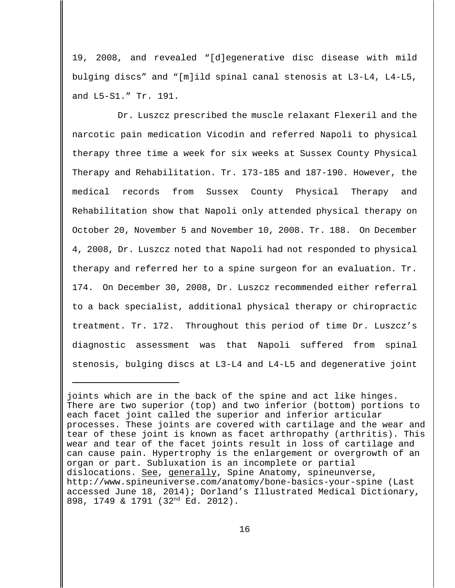19, 2008, and revealed "[d]egenerative disc disease with mild bulging discs" and "[m]ild spinal canal stenosis at L3-L4, L4-L5, and L5-S1." Tr. 191.

Dr. Luszcz prescribed the muscle relaxant Flexeril and the narcotic pain medication Vicodin and referred Napoli to physical therapy three time a week for six weeks at Sussex County Physical Therapy and Rehabilitation. Tr. 173-185 and 187-190. However, the medical records from Sussex County Physical Therapy and Rehabilitation show that Napoli only attended physical therapy on October 20, November 5 and November 10, 2008. Tr. 188. On December 4, 2008, Dr. Luszcz noted that Napoli had not responded to physical therapy and referred her to a spine surgeon for an evaluation. Tr. 174. On December 30, 2008, Dr. Luszcz recommended either referral to a back specialist, additional physical therapy or chiropractic treatment. Tr. 172. Throughout this period of time Dr. Luszcz's diagnostic assessment was that Napoli suffered from spinal stenosis, bulging discs at L3-L4 and L4-L5 and degenerative joint

joints which are in the back of the spine and act like hinges. There are two superior (top) and two inferior (bottom) portions to each facet joint called the superior and inferior articular processes. These joints are covered with cartilage and the wear and tear of these joint is known as facet arthropathy (arthritis). This wear and tear of the facet joints result in loss of cartilage and can cause pain. Hypertrophy is the enlargement or overgrowth of an organ or part. Subluxation is an incomplete or partial dislocations. <u>See</u>, generally, Spine Anatomy, spineunverse, http://www.spineuniverse.com/anatomy/bone-basics-your-spine (Last accessed June 18, 2014); Dorland's Illustrated Medical Dictionary, 898, 1749 & 1791 (32nd Ed. 2012).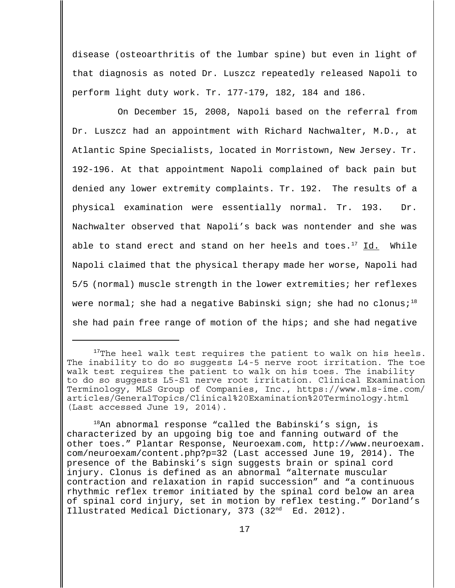disease (osteoarthritis of the lumbar spine) but even in light of that diagnosis as noted Dr. Luszcz repeatedly released Napoli to perform light duty work. Tr. 177-179, 182, 184 and 186.

On December 15, 2008, Napoli based on the referral from Dr. Luszcz had an appointment with Richard Nachwalter, M.D., at Atlantic Spine Specialists, located in Morristown, New Jersey. Tr. 192-196. At that appointment Napoli complained of back pain but denied any lower extremity complaints. Tr. 192. The results of a physical examination were essentially normal. Tr. 193. Dr. Nachwalter observed that Napoli's back was nontender and she was able to stand erect and stand on her heels and toes.<sup>17</sup> Id. While Napoli claimed that the physical therapy made her worse, Napoli had 5/5 (normal) muscle strength in the lower extremities; her reflexes were normal; she had a negative Babinski sign; she had no clonus;<sup>18</sup> she had pain free range of motion of the hips; and she had negative

 $18$ An abnormal response "called the Babinski's sign, is characterized by an upgoing big toe and fanning outward of the other toes." Plantar Response, Neuroexam.com, http://www.neuroexam. com/neuroexam/content.php?p=32 (Last accessed June 19, 2014). The presence of the Babinski's sign suggests brain or spinal cord injury. Clonus is defined as an abnormal "alternate muscular contraction and relaxation in rapid succession" and "a continuous rhythmic reflex tremor initiated by the spinal cord below an area of spinal cord injury, set in motion by reflex testing." Dorland's Illustrated Medical Dictionary, 373 (32<sup>nd</sup> Ed. 2012).

 $17$ The heel walk test requires the patient to walk on his heels. The inability to do so suggests L4-5 nerve root irritation. The toe walk test requires the patient to walk on his toes. The inability to do so suggests L5-S1 nerve root irritation. Clinical Examination Terminology, MLS Group of Companies, Inc., https://www.mls-ime.com/ articles/GeneralTopics/Clinical%20Examination%20Terminology.html (Last accessed June 19, 2014).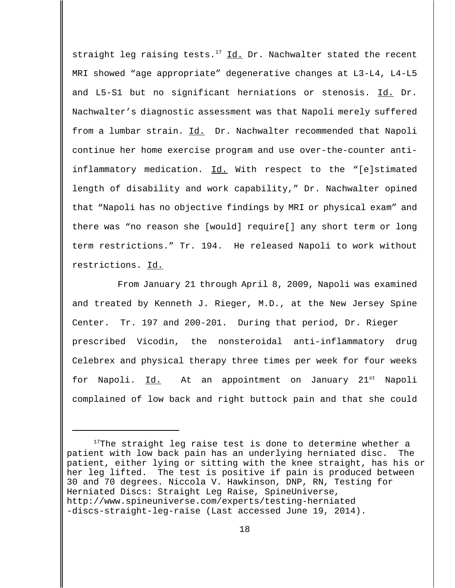straight leg raising tests.<sup>17</sup> Id. Dr. Nachwalter stated the recent MRI showed "age appropriate" degenerative changes at L3-L4, L4-L5 and L5-S1 but no significant herniations or stenosis. Id. Dr. Nachwalter's diagnostic assessment was that Napoli merely suffered from a lumbar strain. Id. Dr. Nachwalter recommended that Napoli continue her home exercise program and use over-the-counter antiinflammatory medication. Id. With respect to the "[e]stimated length of disability and work capability," Dr. Nachwalter opined that "Napoli has no objective findings by MRI or physical exam" and there was "no reason she [would] require[] any short term or long term restrictions." Tr. 194. He released Napoli to work without restrictions. Id.

From January 21 through April 8, 2009, Napoli was examined and treated by Kenneth J. Rieger, M.D., at the New Jersey Spine Center. Tr. 197 and 200-201. During that period, Dr. Rieger prescribed Vicodin, the nonsteroidal anti-inflammatory drug Celebrex and physical therapy three times per week for four weeks for Napoli. Id. At an appointment on January 21<sup>st</sup> Napoli complained of low back and right buttock pain and that she could

 $17$ The straight leg raise test is done to determine whether a patient with low back pain has an underlying herniated disc. The patient, either lying or sitting with the knee straight, has his or her leg lifted. The test is positive if pain is produced between 30 and 70 degrees. Niccola V. Hawkinson, DNP, RN, Testing for Herniated Discs: Straight Leg Raise, SpineUniverse, http://www.spineuniverse.com/experts/testing-herniated -discs-straight-leg-raise (Last accessed June 19, 2014).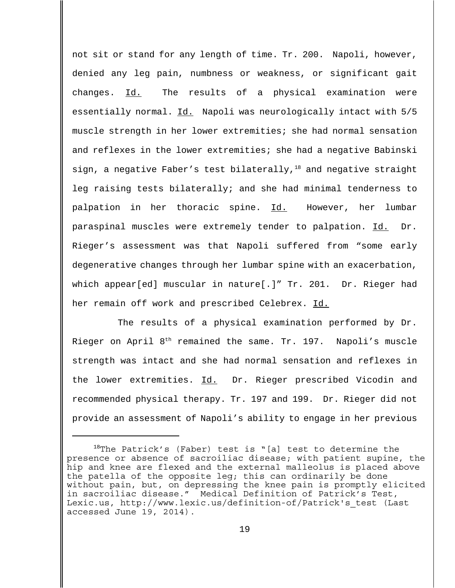not sit or stand for any length of time. Tr. 200. Napoli, however, denied any leg pain, numbness or weakness, or significant gait changes. Id. The results of a physical examination were essentially normal. Id. Napoli was neurologically intact with 5/5 muscle strength in her lower extremities; she had normal sensation and reflexes in the lower extremities; she had a negative Babinski sign, a negative Faber's test bilaterally, $18$  and negative straight leg raising tests bilaterally; and she had minimal tenderness to palpation in her thoracic spine. Id. However, her lumbar paraspinal muscles were extremely tender to palpation. Id. Dr. Rieger's assessment was that Napoli suffered from "some early degenerative changes through her lumbar spine with an exacerbation, which appear[ed] muscular in nature[.]" Tr. 201. Dr. Rieger had her remain off work and prescribed Celebrex. Id.

The results of a physical examination performed by Dr. Rieger on April 8<sup>th</sup> remained the same. Tr. 197. Napoli's muscle strength was intact and she had normal sensation and reflexes in the lower extremities. Id. Dr. Rieger prescribed Vicodin and recommended physical therapy. Tr. 197 and 199. Dr. Rieger did not provide an assessment of Napoli's ability to engage in her previous

 $18$ The Patrick's (Faber) test is "[a] test to determine the presence or absence of sacroiliac disease; with patient supine, the hip and knee are flexed and the external malleolus is placed above the patella of the opposite leg; this can ordinarily be done without pain, but, on depressing the knee pain is promptly elicited in sacroiliac disease." Medical Definition of Patrick's Test, Lexic.us, http://www.lexic.us/definition-of/Patrick's\_test (Last accessed June 19, 2014).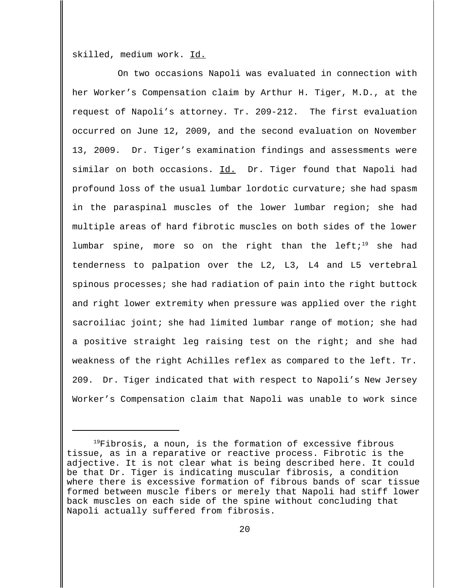skilled, medium work. Id.

On two occasions Napoli was evaluated in connection with her Worker's Compensation claim by Arthur H. Tiger, M.D., at the request of Napoli's attorney. Tr. 209-212. The first evaluation occurred on June 12, 2009, and the second evaluation on November 13, 2009. Dr. Tiger's examination findings and assessments were similar on both occasions. Id. Dr. Tiger found that Napoli had profound loss of the usual lumbar lordotic curvature; she had spasm in the paraspinal muscles of the lower lumbar region; she had multiple areas of hard fibrotic muscles on both sides of the lower lumbar spine, more so on the right than the left;<sup>19</sup> she had tenderness to palpation over the L2, L3, L4 and L5 vertebral spinous processes; she had radiation of pain into the right buttock and right lower extremity when pressure was applied over the right sacroiliac joint; she had limited lumbar range of motion; she had a positive straight leg raising test on the right; and she had weakness of the right Achilles reflex as compared to the left. Tr. 209. Dr. Tiger indicated that with respect to Napoli's New Jersey Worker's Compensation claim that Napoli was unable to work since

<sup>&</sup>lt;sup>19</sup>Fibrosis, a noun, is the formation of excessive fibrous tissue, as in a reparative or reactive process. Fibrotic is the adjective. It is not clear what is being described here. It could be that Dr. Tiger is indicating muscular fibrosis, a condition where there is excessive formation of fibrous bands of scar tissue formed between muscle fibers or merely that Napoli had stiff lower back muscles on each side of the spine without concluding that Napoli actually suffered from fibrosis.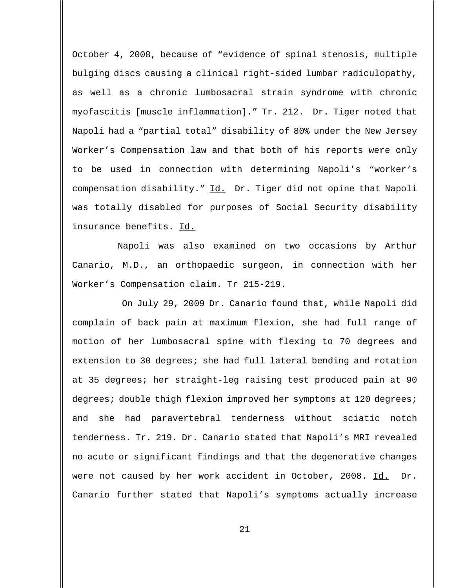October 4, 2008, because of "evidence of spinal stenosis, multiple bulging discs causing a clinical right-sided lumbar radiculopathy, as well as a chronic lumbosacral strain syndrome with chronic myofascitis [muscle inflammation]." Tr. 212. Dr. Tiger noted that Napoli had a "partial total" disability of 80% under the New Jersey Worker's Compensation law and that both of his reports were only to be used in connection with determining Napoli's "worker's compensation disability." Id. Dr. Tiger did not opine that Napoli was totally disabled for purposes of Social Security disability insurance benefits. Id.

Napoli was also examined on two occasions by Arthur Canario, M.D., an orthopaedic surgeon, in connection with her Worker's Compensation claim. Tr 215-219.

 On July 29, 2009 Dr. Canario found that, while Napoli did complain of back pain at maximum flexion, she had full range of motion of her lumbosacral spine with flexing to 70 degrees and extension to 30 degrees; she had full lateral bending and rotation at 35 degrees; her straight-leg raising test produced pain at 90 degrees; double thigh flexion improved her symptoms at 120 degrees; and she had paravertebral tenderness without sciatic notch tenderness. Tr. 219. Dr. Canario stated that Napoli's MRI revealed no acute or significant findings and that the degenerative changes were not caused by her work accident in October, 2008. Id. Dr. Canario further stated that Napoli's symptoms actually increase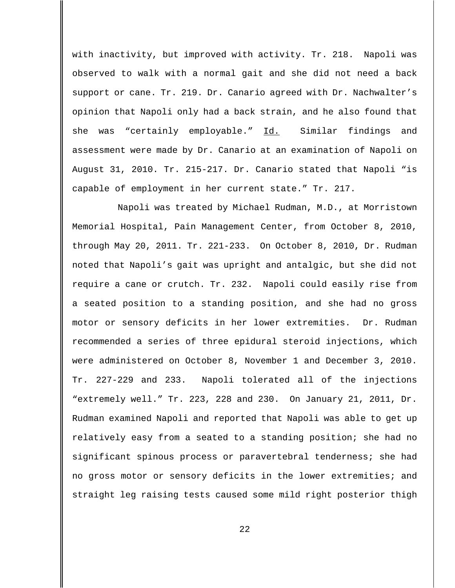with inactivity, but improved with activity. Tr. 218. Napoli was observed to walk with a normal gait and she did not need a back support or cane. Tr. 219. Dr. Canario agreed with Dr. Nachwalter's opinion that Napoli only had a back strain, and he also found that she was "certainly employable." Id. Similar findings and assessment were made by Dr. Canario at an examination of Napoli on August 31, 2010. Tr. 215-217. Dr. Canario stated that Napoli "is capable of employment in her current state." Tr. 217.

Napoli was treated by Michael Rudman, M.D., at Morristown Memorial Hospital, Pain Management Center, from October 8, 2010, through May 20, 2011. Tr. 221-233. On October 8, 2010, Dr. Rudman noted that Napoli's gait was upright and antalgic, but she did not require a cane or crutch. Tr. 232. Napoli could easily rise from a seated position to a standing position, and she had no gross motor or sensory deficits in her lower extremities. Dr. Rudman recommended a series of three epidural steroid injections, which were administered on October 8, November 1 and December 3, 2010. Tr. 227-229 and 233. Napoli tolerated all of the injections "extremely well." Tr. 223, 228 and 230. On January 21, 2011, Dr. Rudman examined Napoli and reported that Napoli was able to get up relatively easy from a seated to a standing position; she had no significant spinous process or paravertebral tenderness; she had no gross motor or sensory deficits in the lower extremities; and straight leg raising tests caused some mild right posterior thigh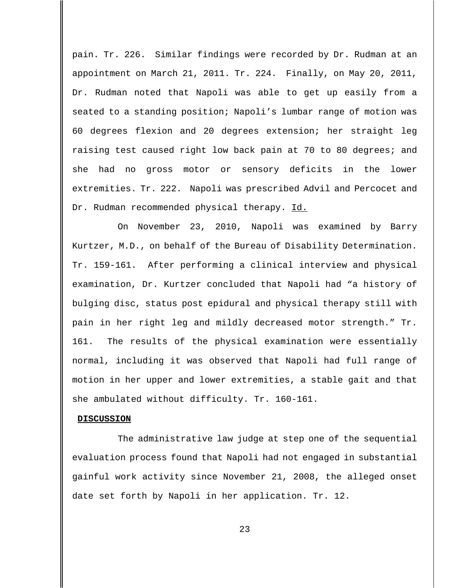pain. Tr. 226. Similar findings were recorded by Dr. Rudman at an appointment on March 21, 2011. Tr. 224. Finally, on May 20, 2011, Dr. Rudman noted that Napoli was able to get up easily from a seated to a standing position; Napoli's lumbar range of motion was 60 degrees flexion and 20 degrees extension; her straight leg raising test caused right low back pain at 70 to 80 degrees; and she had no gross motor or sensory deficits in the lower extremities. Tr. 222. Napoli was prescribed Advil and Percocet and Dr. Rudman recommended physical therapy. Id.

On November 23, 2010, Napoli was examined by Barry Kurtzer, M.D., on behalf of the Bureau of Disability Determination. Tr. 159-161. After performing a clinical interview and physical examination, Dr. Kurtzer concluded that Napoli had "a history of bulging disc, status post epidural and physical therapy still with pain in her right leg and mildly decreased motor strength." Tr. 161. The results of the physical examination were essentially normal, including it was observed that Napoli had full range of motion in her upper and lower extremities, a stable gait and that she ambulated without difficulty. Tr. 160-161.

#### **DISCUSSION**

The administrative law judge at step one of the sequential evaluation process found that Napoli had not engaged in substantial gainful work activity since November 21, 2008, the alleged onset date set forth by Napoli in her application. Tr. 12.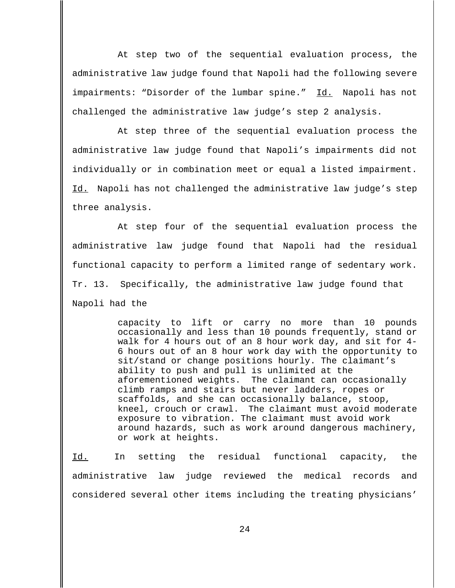At step two of the sequential evaluation process, the administrative law judge found that Napoli had the following severe impairments: "Disorder of the lumbar spine." Id. Napoli has not challenged the administrative law judge's step 2 analysis.

At step three of the sequential evaluation process the administrative law judge found that Napoli's impairments did not individually or in combination meet or equal a listed impairment. Id. Napoli has not challenged the administrative law judge's step three analysis.

At step four of the sequential evaluation process the administrative law judge found that Napoli had the residual functional capacity to perform a limited range of sedentary work. Tr. 13. Specifically, the administrative law judge found that Napoli had the

> capacity to lift or carry no more than 10 pounds occasionally and less than 10 pounds frequently, stand or walk for 4 hours out of an 8 hour work day, and sit for 4- 6 hours out of an 8 hour work day with the opportunity to sit/stand or change positions hourly. The claimant's ability to push and pull is unlimited at the aforementioned weights. The claimant can occasionally climb ramps and stairs but never ladders, ropes or scaffolds, and she can occasionally balance, stoop, kneel, crouch or crawl. The claimant must avoid moderate exposure to vibration. The claimant must avoid work around hazards, such as work around dangerous machinery, or work at heights.

Id. In setting the residual functional capacity, the administrative law judge reviewed the medical records and considered several other items including the treating physicians'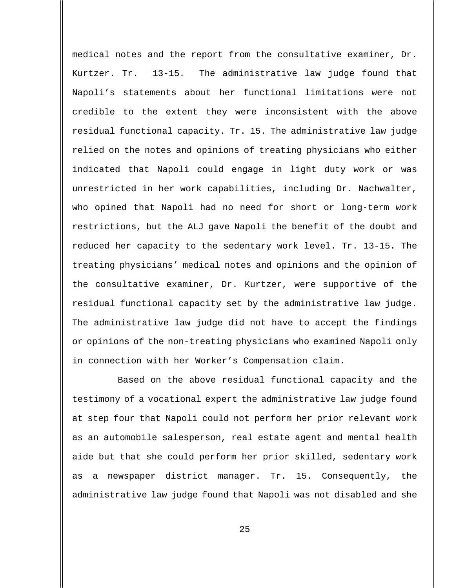medical notes and the report from the consultative examiner, Dr. Kurtzer. Tr. 13-15. The administrative law judge found that Napoli's statements about her functional limitations were not credible to the extent they were inconsistent with the above residual functional capacity. Tr. 15. The administrative law judge relied on the notes and opinions of treating physicians who either indicated that Napoli could engage in light duty work or was unrestricted in her work capabilities, including Dr. Nachwalter, who opined that Napoli had no need for short or long-term work restrictions, but the ALJ gave Napoli the benefit of the doubt and reduced her capacity to the sedentary work level. Tr. 13-15. The treating physicians' medical notes and opinions and the opinion of the consultative examiner, Dr. Kurtzer, were supportive of the residual functional capacity set by the administrative law judge. The administrative law judge did not have to accept the findings or opinions of the non-treating physicians who examined Napoli only in connection with her Worker's Compensation claim.

Based on the above residual functional capacity and the testimony of a vocational expert the administrative law judge found at step four that Napoli could not perform her prior relevant work as an automobile salesperson, real estate agent and mental health aide but that she could perform her prior skilled, sedentary work as a newspaper district manager. Tr. 15. Consequently, the administrative law judge found that Napoli was not disabled and she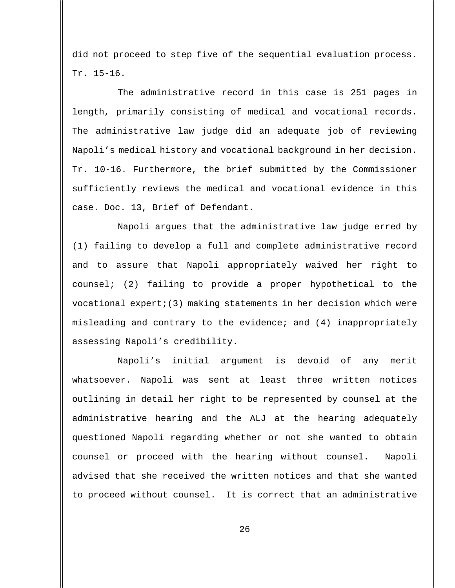did not proceed to step five of the sequential evaluation process. Tr. 15-16.

The administrative record in this case is 251 pages in length, primarily consisting of medical and vocational records. The administrative law judge did an adequate job of reviewing Napoli's medical history and vocational background in her decision. Tr. 10-16. Furthermore, the brief submitted by the Commissioner sufficiently reviews the medical and vocational evidence in this case. Doc. 13, Brief of Defendant.

Napoli argues that the administrative law judge erred by (1) failing to develop a full and complete administrative record and to assure that Napoli appropriately waived her right to counsel; (2) failing to provide a proper hypothetical to the vocational  $\epsilon$ xpert;(3) making statements in her decision which were misleading and contrary to the evidence; and (4) inappropriately assessing Napoli's credibility.

Napoli's initial argument is devoid of any merit whatsoever. Napoli was sent at least three written notices outlining in detail her right to be represented by counsel at the administrative hearing and the ALJ at the hearing adequately questioned Napoli regarding whether or not she wanted to obtain counsel or proceed with the hearing without counsel. Napoli advised that she received the written notices and that she wanted to proceed without counsel. It is correct that an administrative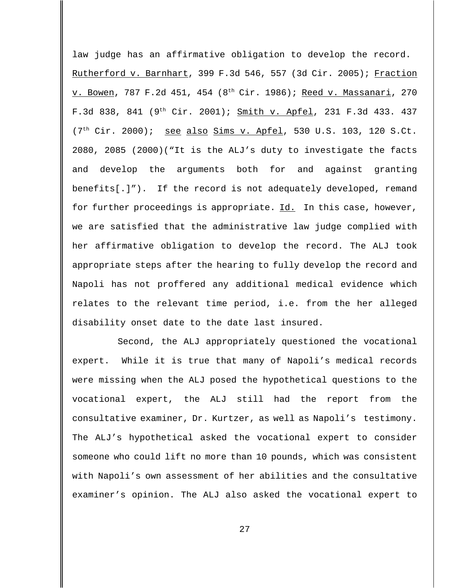law judge has an affirmative obligation to develop the record. Rutherford v. Barnhart, 399 F.3d 546, 557 (3d Cir. 2005); Fraction v. Bowen, 787 F.2d 451, 454 (8th Cir. 1986); Reed v. Massanari, 270 F.3d 838, 841 ( $9^{th}$  Cir. 2001); Smith v. Apfel, 231 F.3d 433. 437  $(7<sup>th</sup> Cir. 2000)$ ; see also Sims v. Apfel, 530 U.S. 103, 120 S.Ct. 2080, 2085 (2000)("It is the ALJ's duty to investigate the facts and develop the arguments both for and against granting benefits[.]"). If the record is not adequately developed, remand for further proceedings is appropriate. Id. In this case, however, we are satisfied that the administrative law judge complied with her affirmative obligation to develop the record. The ALJ took appropriate steps after the hearing to fully develop the record and Napoli has not proffered any additional medical evidence which relates to the relevant time period, i.e. from the her alleged disability onset date to the date last insured.

Second, the ALJ appropriately questioned the vocational expert. While it is true that many of Napoli's medical records were missing when the ALJ posed the hypothetical questions to the vocational expert, the ALJ still had the report from the consultative examiner, Dr. Kurtzer, as well as Napoli's testimony. The ALJ's hypothetical asked the vocational expert to consider someone who could lift no more than 10 pounds, which was consistent with Napoli's own assessment of her abilities and the consultative examiner's opinion. The ALJ also asked the vocational expert to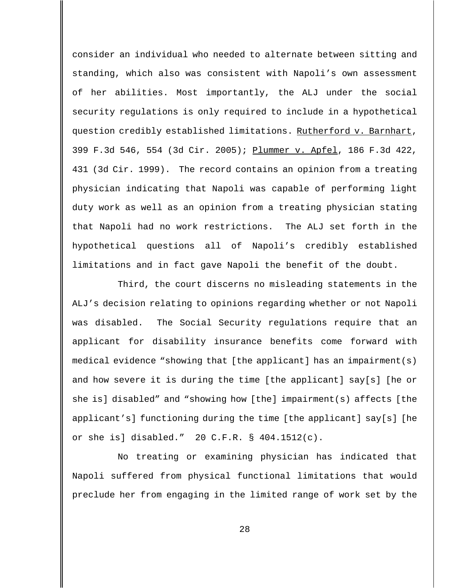consider an individual who needed to alternate between sitting and standing, which also was consistent with Napoli's own assessment of her abilities. Most importantly, the ALJ under the social security regulations is only required to include in a hypothetical question credibly established limitations. Rutherford v. Barnhart, 399 F.3d 546, 554 (3d Cir. 2005); Plummer v. Apfel, 186 F.3d 422, 431 (3d Cir. 1999). The record contains an opinion from a treating physician indicating that Napoli was capable of performing light duty work as well as an opinion from a treating physician stating that Napoli had no work restrictions. The ALJ set forth in the hypothetical questions all of Napoli's credibly established limitations and in fact gave Napoli the benefit of the doubt.

Third, the court discerns no misleading statements in the ALJ's decision relating to opinions regarding whether or not Napoli was disabled. The Social Security regulations require that an applicant for disability insurance benefits come forward with medical evidence "showing that [the applicant] has an impairment(s) and how severe it is during the time [the applicant] say[s] [he or she is] disabled" and "showing how [the] impairment(s) affects [the applicant's] functioning during the time [the applicant] say[s] [he or she is] disabled." 20 C.F.R. § 404.1512(c).

No treating or examining physician has indicated that Napoli suffered from physical functional limitations that would preclude her from engaging in the limited range of work set by the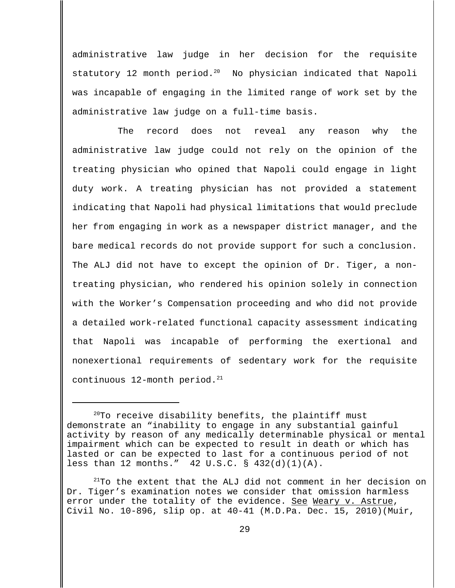administrative law judge in her decision for the requisite statutory 12 month period. $20$  No physician indicated that Napoli was incapable of engaging in the limited range of work set by the administrative law judge on a full-time basis.

The record does not reveal any reason why the administrative law judge could not rely on the opinion of the treating physician who opined that Napoli could engage in light duty work. A treating physician has not provided a statement indicating that Napoli had physical limitations that would preclude her from engaging in work as a newspaper district manager, and the bare medical records do not provide support for such a conclusion. The ALJ did not have to except the opinion of Dr. Tiger, a nontreating physician, who rendered his opinion solely in connection with the Worker's Compensation proceeding and who did not provide a detailed work-related functional capacity assessment indicating that Napoli was incapable of performing the exertional and nonexertional requirements of sedentary work for the requisite continuous  $12$ -month period.<sup>21</sup>

 $20$ To receive disability benefits, the plaintiff must demonstrate an "inability to engage in any substantial gainful activity by reason of any medically determinable physical or mental impairment which can be expected to result in death or which has lasted or can be expected to last for a continuous period of not less than 12 months." 42 U.S.C. § 432(d)(1)(A).

 $21$ To the extent that the ALJ did not comment in her decision on Dr. Tiger's examination notes we consider that omission harmless error under the totality of the evidence. See Weary v. Astrue, Civil No. 10-896, slip op. at 40-41 (M.D.Pa. Dec. 15, 2010)(Muir,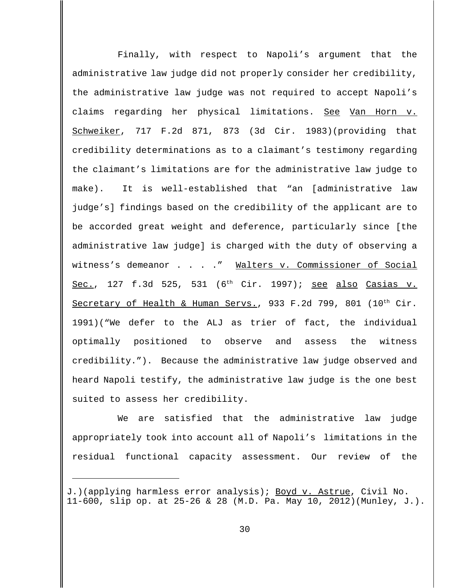Finally, with respect to Napoli's argument that the administrative law judge did not properly consider her credibility, the administrative law judge was not required to accept Napoli's claims regarding her physical limitations. See Van Horn v. Schweiker, 717 F.2d 871, 873 (3d Cir. 1983)(providing that credibility determinations as to a claimant's testimony regarding the claimant's limitations are for the administrative law judge to make). It is well-established that "an [administrative law judge's] findings based on the credibility of the applicant are to be accorded great weight and deference, particularly since [the administrative law judge] is charged with the duty of observing a witness's demeanor . . . . " Walters v. Commissioner of Social Sec., 127 f.3d 525, 531 (6<sup>th</sup> Cir. 1997); <u>see also Casias v.</u> Secretary of Health & Human Servs., 933 F.2d 799, 801  $(10^{th}$  Cir. 1991)("We defer to the ALJ as trier of fact, the individual optimally positioned to observe and assess the witness credibility."). Because the administrative law judge observed and heard Napoli testify, the administrative law judge is the one best suited to assess her credibility.

We are satisfied that the administrative law judge appropriately took into account all of Napoli's limitations in the residual functional capacity assessment. Our review of the

J.)(applying harmless error analysis); Boyd v. Astrue, Civil No. 11-600, slip op. at 25-26 & 28 (M.D. Pa. May 10, 2012)(Munley, J.).